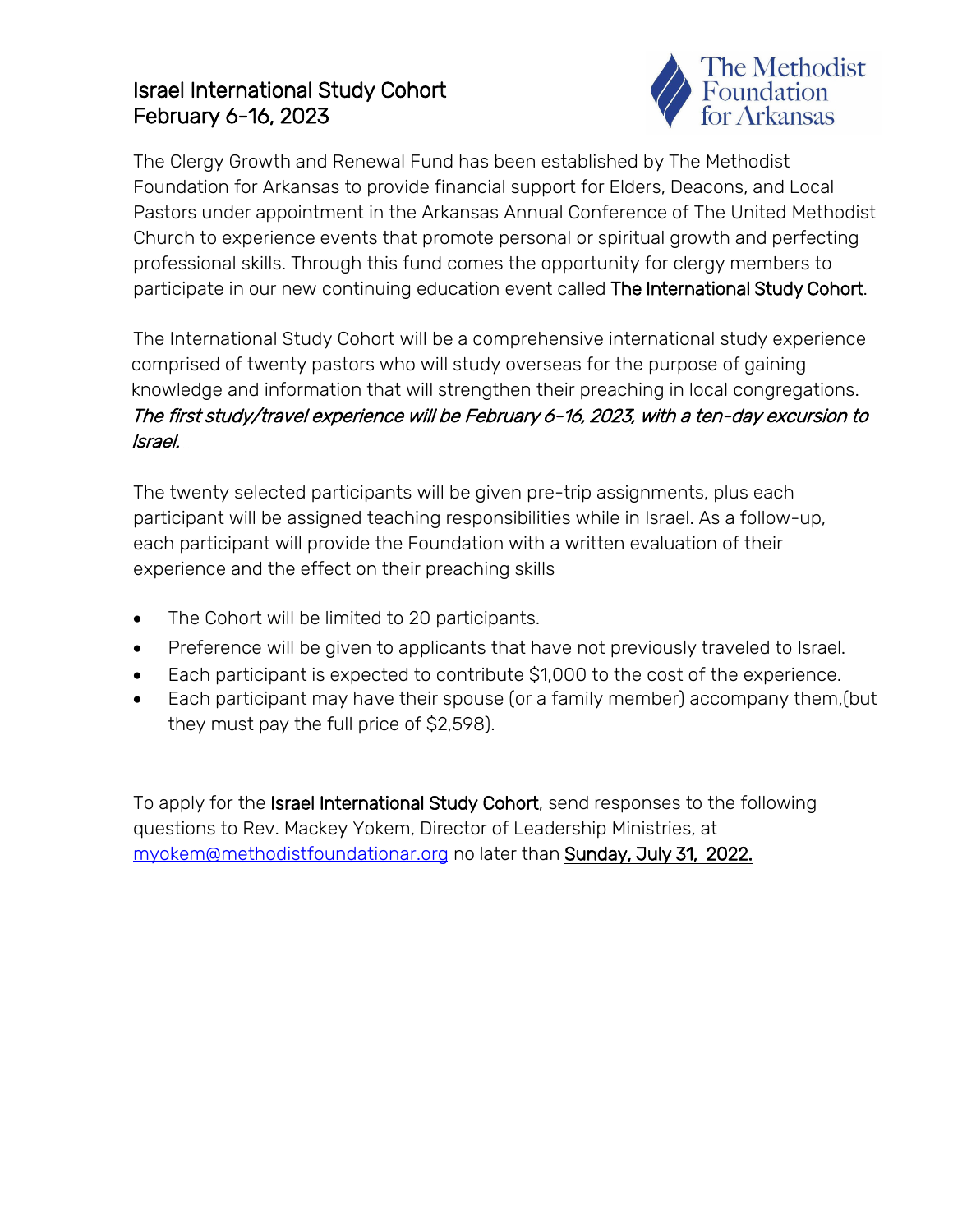## Israel International Study Cohort February 6-16, 2023



The Clergy Growth and Renewal Fund has been established by The Methodist Foundation for Arkansas to provide financial support for Elders, Deacons, and Local Pastors under appointment in the Arkansas Annual Conference of The United Methodist Church to experience events that promote personal or spiritual growth and perfecting professional skills. Through this fund comes the opportunity for clergy members to participate in our new continuing education event called The International Study Cohort.

The International Study Cohort will be a comprehensive international study experience comprised of twenty pastors who will study overseas for the purpose of gaining knowledge and information that will strengthen their preaching in local congregations. The first study/travel experience will be February 6-16, 2023, with a ten-day excursion to Israel.

The twenty selected participants will be given pre-trip assignments, plus each participant will be assigned teaching responsibilities while in Israel. As a follow-up, each participant will provide the Foundation with a written evaluation of their experience and the effect on their preaching skills

- The Cohort will be limited to 20 participants.
- Preference will be given to applicants that have not previously traveled to Israel.
- Each participant is expected to contribute \$1,000 to the cost of the experience.
- Each participant may have their spouse (or a family member) accompany them,(but they must pay the full price of \$2,598).

To apply for the Israel International Study Cohort, send responses to the following questions to Rev. Mackey Yokem, Director of Leadership Ministries, at [myokem@methodistfoundationar.org](mailto:myokem@methodistfoundationar.org) no later than Sunday, July 31, 2022.